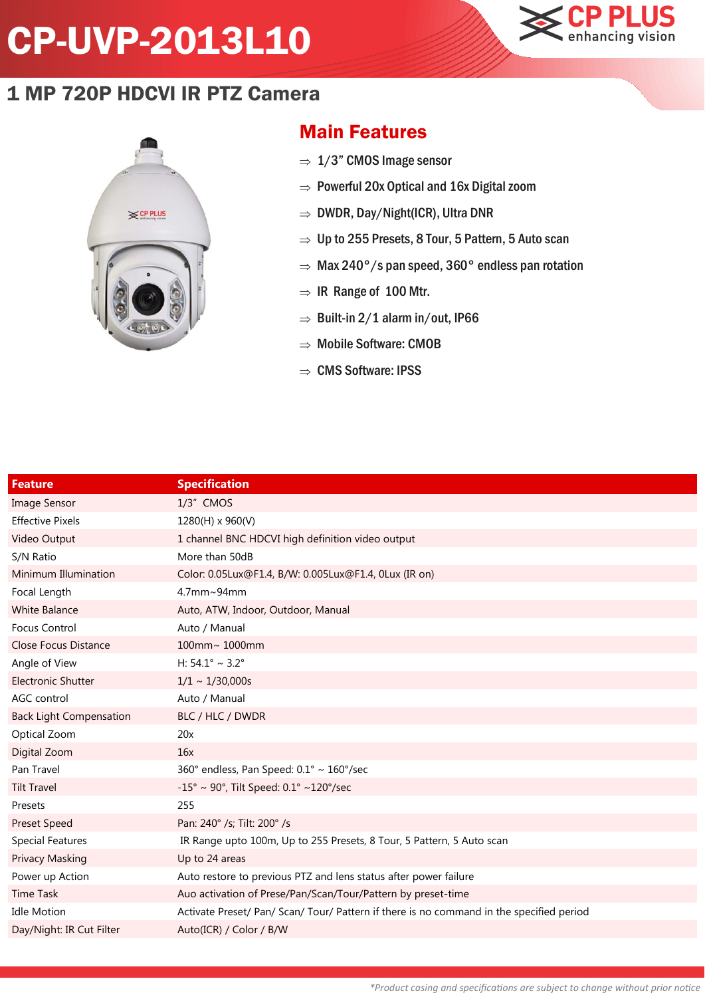## CP-UVP-2013L10



## 1 MP 720P HDCVI IR PTZ Camera



## Main Features

- $\Rightarrow$  1/3" CMOS Image sensor
- $\Rightarrow$  Powerful 20x Optical and 16x Digital zoom
- $\Rightarrow$  DWDR, Day/Night(ICR), Ultra DNR
- $\Rightarrow$  Up to 255 Presets, 8 Tour, 5 Pattern, 5 Auto scan
- $\Rightarrow$  Max 240°/s pan speed, 360° endless pan rotation
- $\Rightarrow$  IR Range of 100 Mtr.
- $\Rightarrow$  Built-in 2/1 alarm in/out, IP66
- $\Rightarrow$  Mobile Software: CMOB
- $\Rightarrow$  CMS Software: IPSS

| <b>Feature</b>                 | <b>Specification</b>                                                                     |
|--------------------------------|------------------------------------------------------------------------------------------|
| <b>Image Sensor</b>            | $1/3$ " CMOS                                                                             |
| <b>Effective Pixels</b>        | 1280(H) x 960(V)                                                                         |
| Video Output                   | 1 channel BNC HDCVI high definition video output                                         |
| S/N Ratio                      | More than 50dB                                                                           |
| Minimum Illumination           | Color: 0.05Lux@F1.4, B/W: 0.005Lux@F1.4, 0Lux (IR on)                                    |
| Focal Length                   | 4.7mm~94mm                                                                               |
| <b>White Balance</b>           | Auto, ATW, Indoor, Outdoor, Manual                                                       |
| <b>Focus Control</b>           | Auto / Manual                                                                            |
| <b>Close Focus Distance</b>    | 100mm~ 1000mm                                                                            |
| Angle of View                  | H: $54.1^{\circ} \sim 3.2^{\circ}$                                                       |
| <b>Electronic Shutter</b>      | $1/1 \sim 1/30,000s$                                                                     |
| AGC control                    | Auto / Manual                                                                            |
| <b>Back Light Compensation</b> | BLC / HLC / DWDR                                                                         |
| Optical Zoom                   | 20x                                                                                      |
| Digital Zoom                   | 16x                                                                                      |
| Pan Travel                     | 360° endless, Pan Speed: 0.1° ~ 160°/sec                                                 |
| <b>Tilt Travel</b>             | $-15^{\circ} \sim 90^{\circ}$ , Tilt Speed: 0.1° ~120°/sec                               |
| Presets                        | 255                                                                                      |
| <b>Preset Speed</b>            | Pan: 240° /s; Tilt: 200° /s                                                              |
| <b>Special Features</b>        | IR Range upto 100m, Up to 255 Presets, 8 Tour, 5 Pattern, 5 Auto scan                    |
| <b>Privacy Masking</b>         | Up to 24 areas                                                                           |
| Power up Action                | Auto restore to previous PTZ and lens status after power failure                         |
| <b>Time Task</b>               | Auo activation of Prese/Pan/Scan/Tour/Pattern by preset-time                             |
| <b>Idle Motion</b>             | Activate Preset/ Pan/ Scan/ Tour/ Pattern if there is no command in the specified period |
| Day/Night: IR Cut Filter       | Auto(ICR) / Color / B/W                                                                  |
|                                |                                                                                          |